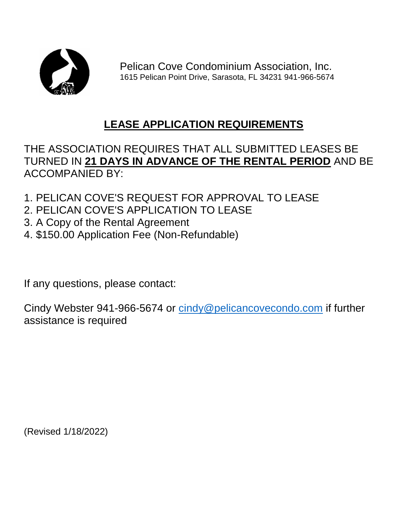

Pelican Cove Condominium Association, Inc. 1615 Pelican Point Drive, Sarasota, FL 34231 941-966-5674

## **LEASE APPLICATION REQUIREMENTS**

## THE ASSOCIATION REQUIRES THAT ALL SUBMITTED LEASES BE TURNED IN **21 DAYS IN ADVANCE OF THE RENTAL PERIOD** AND BE ACCOMPANIED BY:

- 1. PELICAN COVE'S REQUEST FOR APPROVAL TO LEASE
- 2. PELICAN COVE'S APPLICATION TO LEASE
- 3. A Copy of the Rental Agreement
- 4. \$150.00 Application Fee (Non-Refundable)

If any questions, please contact:

Cindy Webster 941-966-5674 or [cindy@pelicancovecondo.com](mailto:cindy@pelicancovecondo.com) if further assistance is required

(Revised 1/18/2022)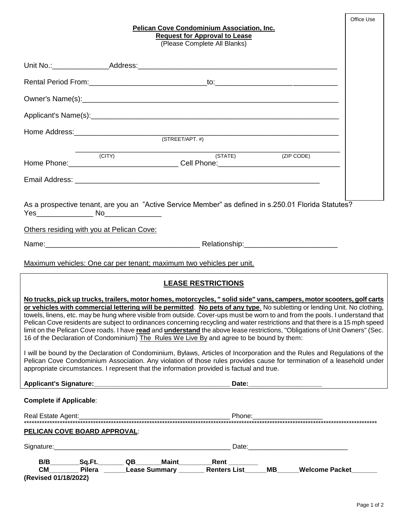| <b>Pelican Cove Condominium Association, Inc.</b><br><b>Request for Approval to Lease</b><br>(Please Complete All Blanks)                                                                                                                                                                                                                                                                                                                                                                                                                                                                                                                                                                                                                                                                                                                                                                                                                                                                                                                                                                            | Office Use |
|------------------------------------------------------------------------------------------------------------------------------------------------------------------------------------------------------------------------------------------------------------------------------------------------------------------------------------------------------------------------------------------------------------------------------------------------------------------------------------------------------------------------------------------------------------------------------------------------------------------------------------------------------------------------------------------------------------------------------------------------------------------------------------------------------------------------------------------------------------------------------------------------------------------------------------------------------------------------------------------------------------------------------------------------------------------------------------------------------|------------|
|                                                                                                                                                                                                                                                                                                                                                                                                                                                                                                                                                                                                                                                                                                                                                                                                                                                                                                                                                                                                                                                                                                      |            |
|                                                                                                                                                                                                                                                                                                                                                                                                                                                                                                                                                                                                                                                                                                                                                                                                                                                                                                                                                                                                                                                                                                      |            |
|                                                                                                                                                                                                                                                                                                                                                                                                                                                                                                                                                                                                                                                                                                                                                                                                                                                                                                                                                                                                                                                                                                      |            |
|                                                                                                                                                                                                                                                                                                                                                                                                                                                                                                                                                                                                                                                                                                                                                                                                                                                                                                                                                                                                                                                                                                      |            |
|                                                                                                                                                                                                                                                                                                                                                                                                                                                                                                                                                                                                                                                                                                                                                                                                                                                                                                                                                                                                                                                                                                      |            |
| (STATE) (ZIP CODE)<br>$\overline{C}$ (CITY)                                                                                                                                                                                                                                                                                                                                                                                                                                                                                                                                                                                                                                                                                                                                                                                                                                                                                                                                                                                                                                                          |            |
|                                                                                                                                                                                                                                                                                                                                                                                                                                                                                                                                                                                                                                                                                                                                                                                                                                                                                                                                                                                                                                                                                                      |            |
| As a prospective tenant, are you an "Active Service Member" as defined in s.250.01 Florida Statutes?<br>Others residing with you at Pelican Cove:                                                                                                                                                                                                                                                                                                                                                                                                                                                                                                                                                                                                                                                                                                                                                                                                                                                                                                                                                    |            |
|                                                                                                                                                                                                                                                                                                                                                                                                                                                                                                                                                                                                                                                                                                                                                                                                                                                                                                                                                                                                                                                                                                      |            |
| Maximum vehicles: One car per tenant; maximum two vehicles per unit.                                                                                                                                                                                                                                                                                                                                                                                                                                                                                                                                                                                                                                                                                                                                                                                                                                                                                                                                                                                                                                 |            |
| <b>LEASE RESTRICTIONS</b>                                                                                                                                                                                                                                                                                                                                                                                                                                                                                                                                                                                                                                                                                                                                                                                                                                                                                                                                                                                                                                                                            |            |
| No trucks, pick up trucks, trailers, motor homes, motorcycles, "solid side" vans, campers, motor scooters, golf carts<br>or vehicles with commercial lettering will be permitted. No pets of any type. No subletting or lending Unit. No clothing,<br>towels, linens, etc. may be hung where visible from outside. Cover-ups must be worn to and from the pools. I understand that<br>Pelican Cove residents are subject to ordinances concerning recycling and water restrictions and that there is a 15 mph speed<br>limit on the Pelican Cove roads. I have read and understand the above lease restrictions, "Obligations of Unit Owners" (Sec.<br>16 of the Declaration of Condominium) The Rules We Live By and agree to be bound by them:<br>I will be bound by the Declaration of Condominium, Bylaws, Articles of Incorporation and the Rules and Regulations of the<br>Pelican Cove Condominium Association. Any violation of those rules provides cause for termination of a leasehold under<br>appropriate circumstances. I represent that the information provided is factual and true. |            |
| <b>Complete if Applicable:</b>                                                                                                                                                                                                                                                                                                                                                                                                                                                                                                                                                                                                                                                                                                                                                                                                                                                                                                                                                                                                                                                                       |            |
|                                                                                                                                                                                                                                                                                                                                                                                                                                                                                                                                                                                                                                                                                                                                                                                                                                                                                                                                                                                                                                                                                                      |            |
| <b>PELICAN COVE BOARD APPROVAL:</b>                                                                                                                                                                                                                                                                                                                                                                                                                                                                                                                                                                                                                                                                                                                                                                                                                                                                                                                                                                                                                                                                  |            |
|                                                                                                                                                                                                                                                                                                                                                                                                                                                                                                                                                                                                                                                                                                                                                                                                                                                                                                                                                                                                                                                                                                      |            |
| B/B________Sq.Ft.________QB_______Maint__________Rent ________<br>CM_________Pilera _______Lease Summary ________Renters List_____MB______Welcome Packet_______<br>(Revised 01/18/2022)                                                                                                                                                                                                                                                                                                                                                                                                                                                                                                                                                                                                                                                                                                                                                                                                                                                                                                              |            |